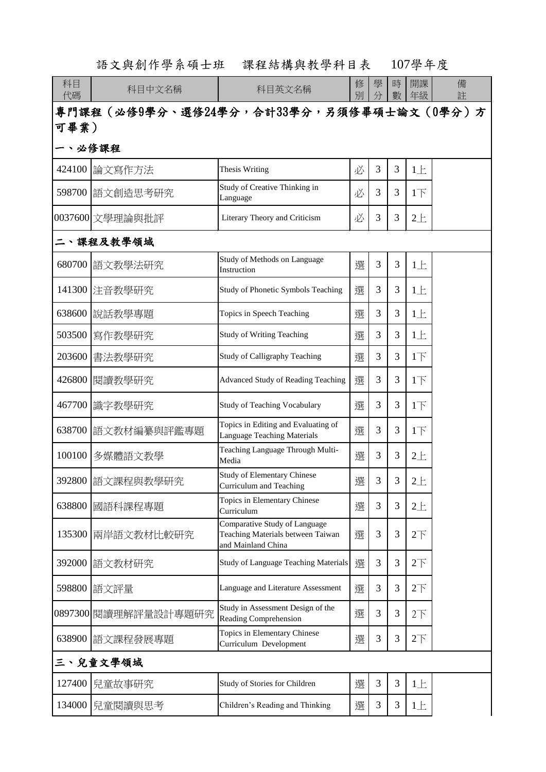|          | 語文與創作學系碩士班           | 課程結構與教學科目表                                                                               |        |        |        | 107學年度          |        |  |
|----------|----------------------|------------------------------------------------------------------------------------------|--------|--------|--------|-----------------|--------|--|
| 科目<br>代碼 | 科目中文名稱               | 科目英文名稱                                                                                   | 修<br>別 | 學<br>分 | 時<br>數 | 開課<br>年級        | 備<br>註 |  |
|          |                      | 專門課程(必修9學分、選修24學分,合計33學分,另須修畢碩士論文(0學分)方                                                  |        |        |        |                 |        |  |
| 可畢業)     |                      |                                                                                          |        |        |        |                 |        |  |
|          | 必修課程                 |                                                                                          |        |        |        |                 |        |  |
| 424100   | 論文寫作方法               | <b>Thesis Writing</b>                                                                    | 必      | 3      | 3      | $1 \pm$         |        |  |
|          | 598700 語文創造思考研究      | Study of Creative Thinking in<br>Language                                                | 必      | 3      | 3      | $1\overline{1}$ |        |  |
|          | 0037600 文學理論與批評      | Literary Theory and Criticism                                                            | 必      | 3      | 3      | $2+$            |        |  |
|          | 課程及教學領域              |                                                                                          |        |        |        |                 |        |  |
| 680700   | 語文教學法研究              | Study of Methods on Language<br>Instruction                                              | 選      | 3      | 3      | $1 \pm$         |        |  |
| 141300   | 注音教學研究               | Study of Phonetic Symbols Teaching                                                       | 選      | 3      | 3      | $1 \pm$         |        |  |
| 638600   | 說話教學專題               | Topics in Speech Teaching                                                                | 選      | 3      | 3      | 1E              |        |  |
|          | 503500  寫作教學研究       | <b>Study of Writing Teaching</b>                                                         | 選      | 3      | 3      | 1E              |        |  |
| 203600   | 書法教學研究               | Study of Calligraphy Teaching                                                            | 選      | 3      | 3      | $1\overline{1}$ |        |  |
| 426800   | 閱讀教學研究               | <b>Advanced Study of Reading Teaching</b>                                                | 選      | 3      | 3      | $1\overline{1}$ |        |  |
|          | 467700 識字教學研究        | <b>Study of Teaching Vocabulary</b>                                                      | 選      | 3      | 3      | $1\overline{1}$ |        |  |
| 638700   | 語文教材編纂與評鑑專題          | Topics in Editing and Evaluating of<br>Language Teaching Materials                       | 選      | 3      | 3      | $1\overline{1}$ |        |  |
| 100100   | 多媒體語文教學              | Teaching Language Through Multi-<br>Media                                                | 選      | 3      | 3      | 2E              |        |  |
| 392800   | 語文課程與教學研究            | <b>Study of Elementary Chinese</b><br>Curriculum and Teaching                            | 選      | 3      | 3      | $2+$            |        |  |
| 638800   | 國語科課程專題              | Topics in Elementary Chinese<br>Curriculum                                               | 選      | 3      | 3      | $2+$            |        |  |
| 135300   | 兩岸語文教材比較研究           | Comparative Study of Language<br>Teaching Materials between Taiwan<br>and Mainland China | 選      | 3      | 3      | 2 <sup>T</sup>  |        |  |
| 392000   | 語文教材研究               | <b>Study of Language Teaching Materials</b>                                              | 選      | 3      | 3      | 2 <sub>T</sub>  |        |  |
| 598800   | 語文評量                 | Language and Literature Assessment                                                       | 選      | 3      | 3      | $2\overline{1}$ |        |  |
|          | 0897300 閱讀理解評量設計專題研究 | Study in Assessment Design of the<br>Reading Comprehension                               | 選      | 3      | 3      | 2 <sup>T</sup>  |        |  |
| 638900   | 語文課程發展專題             | Topics in Elementary Chinese<br>Curriculum Development                                   | 選      | 3      | 3      | 2 <sup>T</sup>  |        |  |
| 三、兒童文學領域 |                      |                                                                                          |        |        |        |                 |        |  |
| 127400   | 兒童故事研究               | Study of Stories for Children                                                            | 選      | 3      | 3      | $1 \pm$         |        |  |
| 134000   | 兒童閱讀與思考              | Children's Reading and Thinking                                                          | 選      | 3      | 3      | $1 \pm$         |        |  |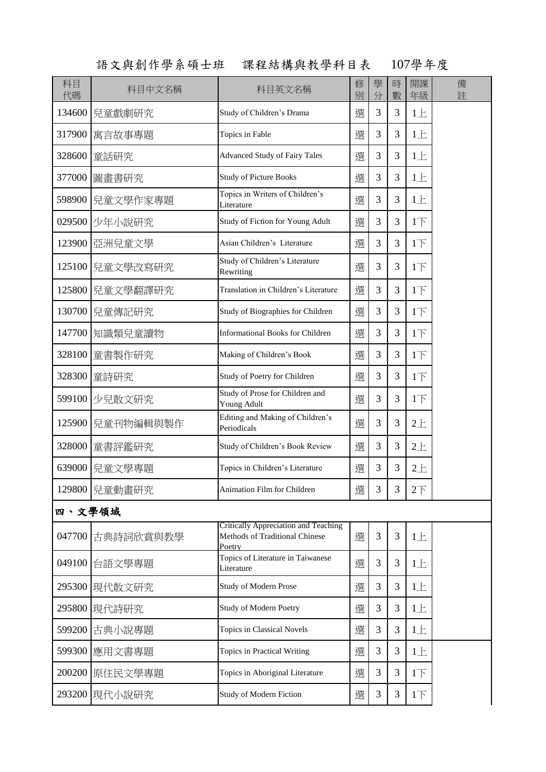語文與創作學系碩士班 課程結構與教學科目表 107學年度

| 科目<br>代碼 | 科目中文名稱            | 科目英文名稱                                                                           | 修<br>別 | 學<br>分 | 時<br>數 | 開課<br>年級        | 備<br>註 |
|----------|-------------------|----------------------------------------------------------------------------------|--------|--------|--------|-----------------|--------|
|          | 134600 兒童戲劇研究     | Study of Children's Drama                                                        | 選      | 3      | 3      | 1E              |        |
| 317900   | 寓言故事專題            | Topics in Fable                                                                  | 選      | 3      | 3      | 1E              |        |
|          | 328600 童話研究       | <b>Advanced Study of Fairy Tales</b>                                             | 選      | 3      | 3      | 1E              |        |
| 377000   | 圖畫書研究             | <b>Study of Picture Books</b>                                                    | 選      | 3      | 3      | 1E              |        |
|          | 598900   兒童文學作家專題 | Topics in Writers of Children's<br>Literature                                    | 選      | 3      | 3      | 1E              |        |
|          | 029500 少年小說研究     | Study of Fiction for Young Adult                                                 | 選      | 3      | 3      | 1 <sub>T</sub>  |        |
|          | 123900 亞洲兒童文學     | Asian Children's Literature                                                      | 選      | 3      | 3      | 1 <sub>T</sub>  |        |
|          | 125100   兒童文學改寫研究 | Study of Children's Literature<br>Rewriting                                      | 選      | 3      | 3      | 1 <sub>T</sub>  |        |
|          | 125800   兒童文學翻譯研究 | Translation in Children's Literature                                             | 選      | 3      | 3      | $1+$            |        |
|          | 130700   兒童傳記研究   | Study of Biographies for Children                                                | 選      | 3      | 3      | $1+$            |        |
|          | 147700 知識類兒童讀物    | <b>Informational Books for Children</b>                                          | 選      | 3      | 3      | 1 <sub>l</sub>  |        |
|          | 328100 童書製作研究     | Making of Children's Book                                                        | 選      | 3      | 3      | 1 <sub>T</sub>  |        |
|          | 328300 童詩研究       | Study of Poetry for Children                                                     | 選      | 3      | 3      | 1 <sub>T</sub>  |        |
|          | 599100 少兒散文研究     | Study of Prose for Children and<br>Young Adult                                   | 選      | 3      | 3      | 1 <sub>T</sub>  |        |
|          | 125900  兒童刊物編輯與製作 | Editing and Making of Children's<br>Periodicals                                  | 選      | 3      | 3      | $2+$            |        |
| 328000   | 童書評鑑研究            | Study of Children's Book Review                                                  | 選      | 3      | 3      | $2+$            |        |
| 639000   | 兒童文學專題            | Topics in Children's Literature                                                  | 選      | 3      | 3      | $2 +$           |        |
|          | 129800   兒童動畫研究   | <b>Animation Film for Children</b>                                               | 選      | 3      | 3      | $2\overline{1}$ |        |
| 四、文學領域   |                   |                                                                                  |        |        |        |                 |        |
| 047700   | 古典詩詞欣賞與教學         | Critically Appreciation and Teaching<br>Methods of Traditional Chinese<br>Poetry | 選      | 3      | 3      | $1 \pm$         |        |
| 049100   | 台語文學專題            | Topics of Literature in Taiwanese<br>Literature                                  | 選      | 3      | 3      | $1 \pm$         |        |
| 295300   | 現代散文研究            | <b>Study of Modern Prose</b>                                                     | 選      | 3      | 3      | $1 \pm$         |        |
| 295800   | 現代詩研究             | <b>Study of Modern Poetry</b>                                                    | 選      | 3      | 3      | $1 \pm$         |        |
| 599200   | 古典小說專題            | Topics in Classical Novels                                                       | 選      | 3      | 3      | $1 \pm$         |        |
| 599300   | 應用文書專題            | Topics in Practical Writing                                                      | 選      | 3      | 3      | $1 \pm$         |        |
| 200200   | 原住民文學專題           | Topics in Aboriginal Literature                                                  | 選      | 3      | 3      | 1 <sub>l</sub>  |        |
|          | 293200 現代小說研究     | Study of Modern Fiction                                                          | 選      | 3      | 3      | 1 <sub>T</sub>  |        |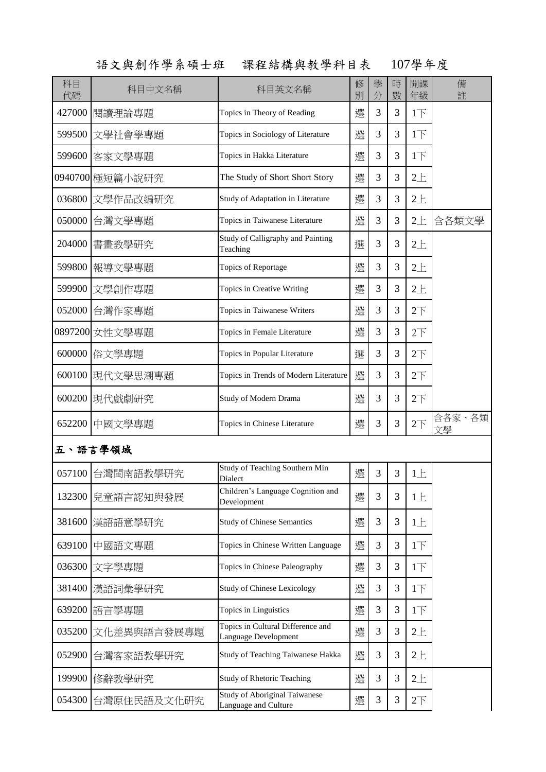|          | 語文與創作學系碩士班<br>課程結構與教學科目表 |                                                              |        | 107學年度 |                |                 |              |
|----------|--------------------------|--------------------------------------------------------------|--------|--------|----------------|-----------------|--------------|
| 科目<br>代碼 | 科目中文名稱                   | 科目英文名稱                                                       | 修<br>別 | 學<br>分 | 時<br>數         | 開課<br>年級        | 備<br>註       |
| 427000   | 閱讀理論專題                   | Topics in Theory of Reading                                  | 選      | 3      | 3              | 1 <sub>T</sub>  |              |
| 599500   | 文學社會學專題                  | Topics in Sociology of Literature                            | 選      | 3      | 3              | 1 <sub>l</sub>  |              |
| 599600   | 客家文學專題                   | Topics in Hakka Literature                                   | 選      | 3      | 3              | 1 <sub>T</sub>  |              |
|          | 0940700 極短篇小說研究          | The Study of Short Short Story                               | 選      | 3      | 3              | $2 +$           |              |
| 036800   | 文學作品改編研究                 | Study of Adaptation in Literature                            | 選      | 3      | 3              | $2 +$           |              |
| 050000   | 台灣文學專題                   | Topics in Taiwanese Literature                               | 選      | 3      | 3              | $2 +$           | 含各類文學        |
| 204000   | 書畫教學研究                   | Study of Calligraphy and Painting<br>Teaching                | 選      | 3      | 3              | $2 +$           |              |
| 599800   | 報導文學專題                   | Topics of Reportage                                          | 選      | 3      | 3              | $2+$            |              |
| 599900   | 文學創作專題                   | Topics in Creative Writing                                   | 選      | 3      | 3              | $2+$            |              |
| 052000   | 台灣作家專題                   | Topics in Taiwanese Writers                                  | 選      | 3      | $\overline{3}$ | $2\overline{1}$ |              |
|          | 0897200 女性文學專題           | Topics in Female Literature                                  | 選      | 3      | 3              | 2 <sup>T</sup>  |              |
| 600000   | 俗文學專題                    | Topics in Popular Literature                                 | 選      | 3      | 3              | $2\overline{1}$ |              |
| 600100   | 現代文學思潮專題                 | Topics in Trends of Modern Literature                        | 選      | 3      | 3              | $2\overline{1}$ |              |
| 600200   | 現代戲劇研究                   | Study of Modern Drama                                        | 選      | 3      | 3              | $2\overline{1}$ |              |
| 652200   | 中國文學專題                   | Topics in Chinese Literature                                 | 選      | 3      | 3              | $2\top$         | 含各家、各類<br>文學 |
|          | 五、語言學領域                  |                                                              |        |        |                |                 |              |
| 057100   | 台灣閩南語教學研究                | Study of Teaching Southern Min<br>Dialect                    | 選      | 3      | 3              | $1 \pm$         |              |
| 132300   | 兒童語言認知與發展                | Children's Language Cognition and<br>Development             | 選      | 3      | 3              | $1 \pm$         |              |
| 381600   | 漢語語意學研究                  | <b>Study of Chinese Semantics</b>                            | 選      | 3      | 3              | $1 \pm$         |              |
| 639100   | 中國語文專題                   | Topics in Chinese Written Language                           | 選      | 3      | 3              | 1 <sub>T</sub>  |              |
| 036300   | 文字學專題                    | Topics in Chinese Paleography                                | 選      | 3      | 3              | 1 <sub>T</sub>  |              |
| 381400   | 漢語詞彙學研究                  | <b>Study of Chinese Lexicology</b>                           | 選      | 3      | 3              | 1 <sub>T</sub>  |              |
| 639200   | 語言學專題                    | Topics in Linguistics                                        | 選      | 3      | 3              | 1 <sub>T</sub>  |              |
| 035200   | 文化差異與語言發展專題              | Topics in Cultural Difference and<br>Language Development    | 選      | 3      | $\mathfrak{Z}$ | $2+$            |              |
| 052900   | 台灣客家語教學研究                | Study of Teaching Taiwanese Hakka                            | 選      | 3      | 3              | $2 +$           |              |
| 199900   | 修辭教學研究                   | <b>Study of Rhetoric Teaching</b>                            | 選      | 3      | 3              | $2+$            |              |
| 054300   | 台灣原住民語及文化研究              | <b>Study of Aboriginal Taiwanese</b><br>Language and Culture | 選      | 3      | 3              | $2\overline{1}$ |              |